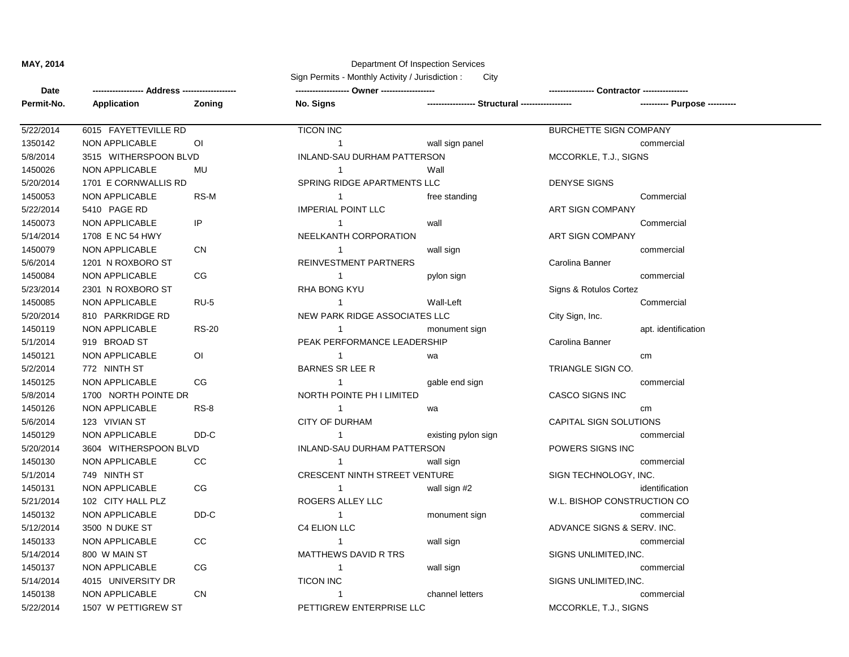## **MAY, 2014** Department Of Inspection Services

Sign Permits - Monthly Activity / Jurisdiction : City

| Date       |                       |                |                                      |                                                 |                               |                               |
|------------|-----------------------|----------------|--------------------------------------|-------------------------------------------------|-------------------------------|-------------------------------|
| Permit-No. | <b>Application</b>    | Zonina         | No. Signs                            | ----------------- Structural ------------------ |                               | ---------- Purpose ---------- |
| 5/22/2014  | 6015 FAYETTEVILLE RD  |                | <b>TICON INC</b>                     |                                                 | <b>BURCHETTE SIGN COMPANY</b> |                               |
| 1350142    | NON APPLICABLE        | $\overline{O}$ | $\overline{1}$                       | wall sign panel                                 |                               | commercial                    |
| 5/8/2014   | 3515 WITHERSPOON BLVD |                | INLAND-SAU DURHAM PATTERSON          |                                                 | MCCORKLE, T.J., SIGNS         |                               |
| 1450026    | NON APPLICABLE        | MU             | $\overline{1}$                       | Wall                                            |                               |                               |
| 5/20/2014  | 1701 E CORNWALLIS RD  |                | SPRING RIDGE APARTMENTS LLC          |                                                 | <b>DENYSE SIGNS</b>           |                               |
| 1450053    | NON APPLICABLE        | RS-M           | $\mathbf{1}$                         | free standing                                   |                               | Commercial                    |
| 5/22/2014  | 5410 PAGE RD          |                | <b>IMPERIAL POINT LLC</b>            |                                                 | <b>ART SIGN COMPANY</b>       |                               |
| 1450073    | <b>NON APPLICABLE</b> | IP             | $\mathbf{1}$                         | wall                                            |                               | Commercial                    |
| 5/14/2014  | 1708 E NC 54 HWY      |                | NEELKANTH CORPORATION                |                                                 | ART SIGN COMPANY              |                               |
| 1450079    | <b>NON APPLICABLE</b> | <b>CN</b>      | $\mathbf{1}$                         | wall sign                                       |                               | commercial                    |
| 5/6/2014   | 1201 N ROXBORO ST     |                | REINVESTMENT PARTNERS                |                                                 | Carolina Banner               |                               |
| 1450084    | <b>NON APPLICABLE</b> | CG             | $\overline{1}$                       | pylon sign                                      |                               | commercial                    |
| 5/23/2014  | 2301 N ROXBORO ST     |                | RHA BONG KYU                         |                                                 | Signs & Rotulos Cortez        |                               |
| 1450085    | NON APPLICABLE        | $RU-5$         | $\overline{1}$                       | Wall-Left                                       |                               | Commercial                    |
| 5/20/2014  | 810 PARKRIDGE RD      |                | NEW PARK RIDGE ASSOCIATES LLC        |                                                 | City Sign, Inc.               |                               |
| 1450119    | <b>NON APPLICABLE</b> | <b>RS-20</b>   | $\mathbf{1}$                         | monument sign                                   |                               | apt. identification           |
| 5/1/2014   | 919 BROAD ST          |                | PEAK PERFORMANCE LEADERSHIP          |                                                 | Carolina Banner               |                               |
| 1450121    | NON APPLICABLE        | O <sub>1</sub> | $\mathbf{1}$                         | wa                                              |                               | cm                            |
| 5/2/2014   | 772 NINTH ST          |                | <b>BARNES SR LEE R</b>               |                                                 | TRIANGLE SIGN CO.             |                               |
| 1450125    | NON APPLICABLE        | $CG$           | $\mathbf{1}$                         | gable end sign                                  |                               | commercial                    |
| 5/8/2014   | 1700 NORTH POINTE DR  |                | NORTH POINTE PH I LIMITED            |                                                 | <b>CASCO SIGNS INC</b>        |                               |
| 1450126    | NON APPLICABLE        | $RS-8$         | $\overline{1}$                       | wa                                              |                               | cm                            |
| 5/6/2014   | 123 VIVIAN ST         |                | <b>CITY OF DURHAM</b>                |                                                 | CAPITAL SIGN SOLUTIONS        |                               |
| 1450129    | NON APPLICABLE        | DD-C           | $\overline{1}$                       | existing pylon sign                             |                               | commercial                    |
| 5/20/2014  | 3604 WITHERSPOON BLVD |                | INLAND-SAU DURHAM PATTERSON          |                                                 | POWERS SIGNS INC              |                               |
| 1450130    | <b>NON APPLICABLE</b> | cc             | $\overline{1}$                       | wall sign                                       |                               | commercial                    |
| 5/1/2014   | 749 NINTH ST          |                | <b>CRESCENT NINTH STREET VENTURE</b> |                                                 | SIGN TECHNOLOGY, INC.         |                               |
| 1450131    | <b>NON APPLICABLE</b> | CG             | $\mathbf{1}$                         | wall sign #2                                    |                               | identification                |
| 5/21/2014  | 102 CITY HALL PLZ     |                | ROGERS ALLEY LLC                     |                                                 | W.L. BISHOP CONSTRUCTION CO   |                               |
| 1450132    | NON APPLICABLE        | DD-C           | $\overline{1}$                       | monument sign                                   |                               | commercial                    |
| 5/12/2014  | 3500 N DUKE ST        |                | C4 ELION LLC                         |                                                 | ADVANCE SIGNS & SERV. INC.    |                               |
| 1450133    | <b>NON APPLICABLE</b> | cc             | $\mathbf{1}$                         | wall sign                                       |                               | commercial                    |
| 5/14/2014  | 800 W MAIN ST         |                | <b>MATTHEWS DAVID R TRS</b>          |                                                 | SIGNS UNLIMITED, INC.         |                               |
| 1450137    | <b>NON APPLICABLE</b> | $CG$           | $\overline{1}$                       | wall sign                                       |                               | commercial                    |
| 5/14/2014  | 4015 UNIVERSITY DR    |                | <b>TICON INC</b>                     |                                                 | SIGNS UNLIMITED, INC.         |                               |
| 1450138    | NON APPLICABLE        | <b>CN</b>      | $\overline{1}$                       | channel letters                                 |                               | commercial                    |
| 5/22/2014  | 1507 W PETTIGREW ST   |                | PETTIGREW ENTERPRISE LLC             |                                                 | MCCORKLE, T.J., SIGNS         |                               |